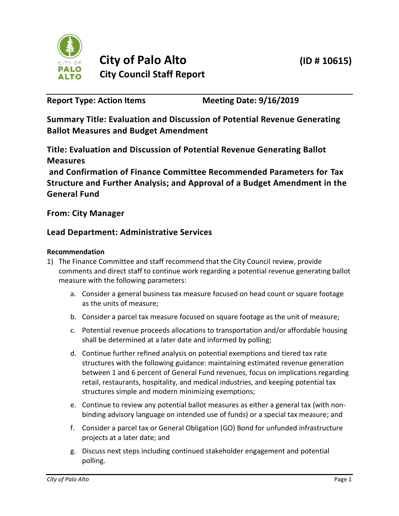

**Report Type: Action Items Meeting Date: 9/16/2019**

**Summary Title: Evaluation and Discussion of Potential Revenue Generating Ballot Measures and Budget Amendment**

**Title: Evaluation and Discussion of Potential Revenue Generating Ballot Measures**

**and Confirmation of Finance Committee Recommended Parameters for Tax Structure and Further Analysis; and Approval of a Budget Amendment in the General Fund**

**From: City Manager**

# **Lead Department: Administrative Services**

## **Recommendation**

- 1) The Finance Committee and staff recommend that the City Council review, provide comments and direct staff to continue work regarding a potential revenue generating ballot measure with the following parameters:
	- a. Consider a general business tax measure focused on head count or square footage as the units of measure;
	- b. Consider a parcel tax measure focused on square footage as the unit of measure;
	- c. Potential revenue proceeds allocations to transportation and/or affordable housing shall be determined at a later date and informed by polling;
	- d. Continue further refined analysis on potential exemptions and tiered tax rate structures with the following guidance: maintaining estimated revenue generation between 1 and 6 percent of General Fund revenues, focus on implications regarding retail, restaurants, hospitality, and medical industries, and keeping potential tax structures simple and modern minimizing exemptions;
	- e. Continue to review any potential ballot measures as either a general tax (with nonbinding advisory language on intended use of funds) or a special tax measure; and
	- f. Consider a parcel tax or General Obligation (GO) Bond for unfunded infrastructure projects at a later date; and
	- g. Discuss next steps including continued stakeholder engagement and potential polling.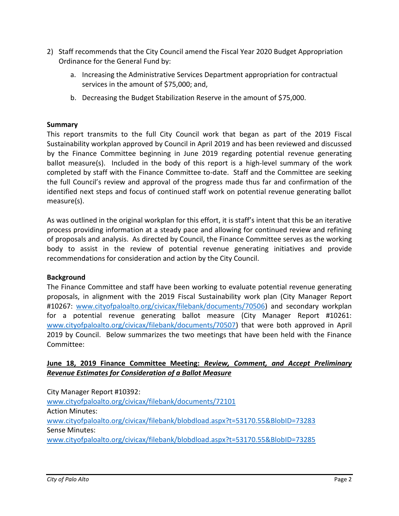- 2) Staff recommends that the City Council amend the Fiscal Year 2020 Budget Appropriation Ordinance for the General Fund by:
	- a. Increasing the Administrative Services Department appropriation for contractual services in the amount of \$75,000; and,
	- b. Decreasing the Budget Stabilization Reserve in the amount of \$75,000.

#### **Summary**

This report transmits to the full City Council work that began as part of the 2019 Fiscal Sustainability workplan approved by Council in April 2019 and has been reviewed and discussed by the Finance Committee beginning in June 2019 regarding potential revenue generating ballot measure(s). Included in the body of this report is a high-level summary of the work completed by staff with the Finance Committee to-date. Staff and the Committee are seeking the full Council's review and approval of the progress made thus far and confirmation of the identified next steps and focus of continued staff work on potential revenue generating ballot measure(s).

As was outlined in the original workplan for this effort, it is staff's intent that this be an iterative process providing information at a steady pace and allowing for continued review and refining of proposals and analysis. As directed by Council, the Finance Committee serves as the working body to assist in the review of potential revenue generating initiatives and provide recommendations for consideration and action by the City Council.

### **Background**

The Finance Committee and staff have been working to evaluate potential revenue generating proposals, in alignment with the 2019 Fiscal Sustainability work plan (City Manager Report #10267: [www.cityofpaloalto.org/civicax/filebank/documents/70506\)](http://www.cityofpaloalto.org/civicax/filebank/documents/70506) and secondary workplan for a potential revenue generating ballot measure (City Manager Report #10261: [www.cityofpaloalto.org/civicax/filebank/documents/70507\)](http://www.cityofpaloalto.org/civicax/filebank/documents/70507) that were both approved in April 2019 by Council. Below summarizes the two meetings that have been held with the Finance Committee:

### **June 18, 2019 Finance Committee Meeting:** *Review, Comment, and Accept Preliminary Revenue Estimates for Consideration of a Ballot Measure*

City Manager Report #10392:

[www.cityofpaloalto.org/civicax/filebank/documents/72101](http://www.cityofpaloalto.org/civicax/filebank/documents/72101) Action Minutes: [www.cityofpaloalto.org/civicax/filebank/blobdload.aspx?t=53170.55&BlobID=73283](http://www.cityofpaloalto.org/civicax/filebank/blobdload.aspx?t=53170.55&BlobID=73283) Sense Minutes: [www.cityofpaloalto.org/civicax/filebank/blobdload.aspx?t=53170.55&BlobID=73285](http://www.cityofpaloalto.org/civicax/filebank/blobdload.aspx?t=53170.55&BlobID=73285)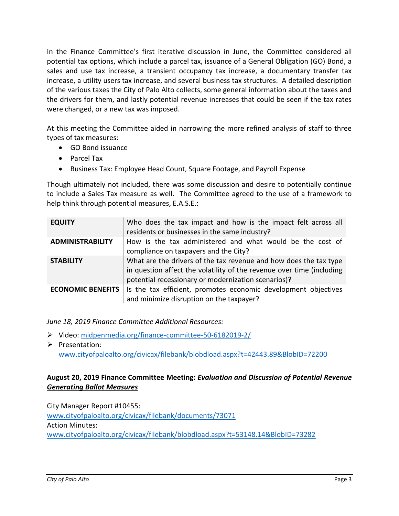In the Finance Committee's first iterative discussion in June, the Committee considered all potential tax options, which include a parcel tax, issuance of a General Obligation (GO) Bond, a sales and use tax increase, a transient occupancy tax increase, a documentary transfer tax increase, a utility users tax increase, and several business tax structures. A detailed description of the various taxes the City of Palo Alto collects, some general information about the taxes and the drivers for them, and lastly potential revenue increases that could be seen if the tax rates were changed, or a new tax was imposed.

At this meeting the Committee aided in narrowing the more refined analysis of staff to three types of tax measures:

- GO Bond issuance
- Parcel Tax
- Business Tax: Employee Head Count, Square Footage, and Payroll Expense

Though ultimately not included, there was some discussion and desire to potentially continue to include a Sales Tax measure as well. The Committee agreed to the use of a framework to help think through potential measures, E.A.S.E.:

| <b>EQUITY</b>            | Who does the tax impact and how is the impact felt across all<br>residents or businesses in the same industry?                                                                                    |
|--------------------------|---------------------------------------------------------------------------------------------------------------------------------------------------------------------------------------------------|
| <b>ADMINISTRABILITY</b>  | How is the tax administered and what would be the cost of<br>compliance on taxpayers and the City?                                                                                                |
| <b>STABILITY</b>         | What are the drivers of the tax revenue and how does the tax type<br>in question affect the volatility of the revenue over time (including<br>potential recessionary or modernization scenarios)? |
| <b>ECONOMIC BENEFITS</b> | Is the tax efficient, promotes economic development objectives<br>and minimize disruption on the taxpayer?                                                                                        |

*June 18, 2019 Finance Committee Additional Resources:*

- ➢ Video: [midpenmedia.org/finance-committee-50-6182019-2/](https://midpenmedia.org/finance-committee-50-6182019-2/)
- ➢ Presentation: [www.cityofpaloalto.org/civicax/filebank/blobdload.aspx?t=42443.89&BlobID=72200](http://www.cityofpaloalto.org/civicax/filebank/blobdload.aspx?t=42443.89&BlobID=72200)

## **August 20, 2019 Finance Committee Meeting:** *Evaluation and Discussion of Potential Revenue Generating Ballot Measures*

City Manager Report #10455: [www.cityofpaloalto.org/civicax/filebank/documents/73071](http://www.cityofpaloalto.org/civicax/filebank/documents/73071) Action Minutes: [www.cityofpaloalto.org/civicax/filebank/blobdload.aspx?t=53148.14&BlobID=73282](http://www.cityofpaloalto.org/civicax/filebank/blobdload.aspx?t=53148.14&BlobID=73282)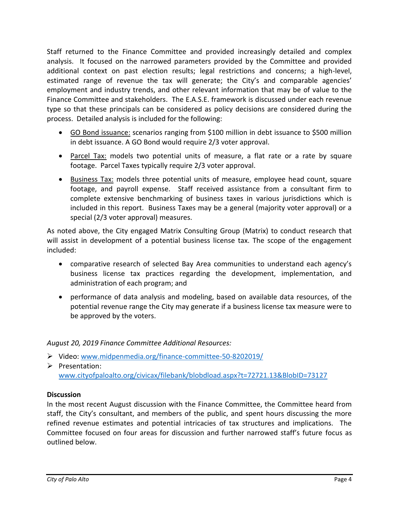Staff returned to the Finance Committee and provided increasingly detailed and complex analysis. It focused on the narrowed parameters provided by the Committee and provided additional context on past election results; legal restrictions and concerns; a high-level, estimated range of revenue the tax will generate; the City's and comparable agencies' employment and industry trends, and other relevant information that may be of value to the Finance Committee and stakeholders. The E.A.S.E. framework is discussed under each revenue type so that these principals can be considered as policy decisions are considered during the process. Detailed analysis is included for the following:

- GO Bond issuance: scenarios ranging from \$100 million in debt issuance to \$500 million in debt issuance. A GO Bond would require 2/3 voter approval.
- Parcel Tax: models two potential units of measure, a flat rate or a rate by square footage. Parcel Taxes typically require 2/3 voter approval.
- Business Tax: models three potential units of measure, employee head count, square footage, and payroll expense. Staff received assistance from a consultant firm to complete extensive benchmarking of business taxes in various jurisdictions which is included in this report. Business Taxes may be a general (majority voter approval) or a special (2/3 voter approval) measures.

As noted above, the City engaged Matrix Consulting Group (Matrix) to conduct research that will assist in development of a potential business license tax. The scope of the engagement included:

- comparative research of selected Bay Area communities to understand each agency's business license tax practices regarding the development, implementation, and administration of each program; and
- performance of data analysis and modeling, based on available data resources, of the potential revenue range the City may generate if a business license tax measure were to be approved by the voters.

### *August 20, 2019 Finance Committee Additional Resources:*

- ➢ Video: [www.midpenmedia.org/finance-committee-50-8202019/](http://www.midpenmedia.org/finance-committee-50-8202019/)
- ➢ Presentation: [www.cityofpaloalto.org/civicax/filebank/blobdload.aspx?t=72721.13&BlobID=73127](http://www.cityofpaloalto.org/civicax/filebank/blobdload.aspx?t=72721.13&BlobID=73127)

### **Discussion**

In the most recent August discussion with the Finance Committee, the Committee heard from staff, the City's consultant, and members of the public, and spent hours discussing the more refined revenue estimates and potential intricacies of tax structures and implications. The Committee focused on four areas for discussion and further narrowed staff's future focus as outlined below.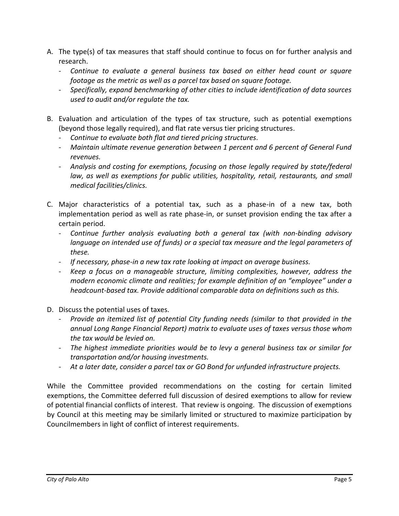- A. The type(s) of tax measures that staff should continue to focus on for further analysis and research.
	- *Continue to evaluate a general business tax based on either head count or square footage as the metric as well as a parcel tax based on square footage.*
	- *Specifically, expand benchmarking of other cities to include identification of data sources used to audit and/or regulate the tax.*
- B. Evaluation and articulation of the types of tax structure, such as potential exemptions (beyond those legally required), and flat rate versus tier pricing structures.
	- *Continue to evaluate both flat and tiered pricing structures.*
	- *Maintain ultimate revenue generation between 1 percent and 6 percent of General Fund revenues.*
	- *Analysis and costing for exemptions, focusing on those legally required by state/federal law, as well as exemptions for public utilities, hospitality, retail, restaurants, and small medical facilities/clinics.*
- C. Major characteristics of a potential tax, such as a phase-in of a new tax, both implementation period as well as rate phase-in, or sunset provision ending the tax after a certain period.
	- *Continue further analysis evaluating both a general tax (with non-binding advisory language on intended use of funds) or a special tax measure and the legal parameters of these.*
	- *If necessary, phase-in a new tax rate looking at impact on average business.*
	- *Keep a focus on a manageable structure, limiting complexities, however, address the modern economic climate and realities; for example definition of an "employee" under a headcount-based tax. Provide additional comparable data on definitions such as this.*
- D. Discuss the potential uses of taxes.
	- *Provide an itemized list of potential City funding needs (similar to that provided in the annual Long Range Financial Report) matrix to evaluate uses of taxes versus those whom the tax would be levied on.*
	- *The highest immediate priorities would be to levy a general business tax or similar for transportation and/or housing investments.*
	- *At a later date, consider a parcel tax or GO Bond for unfunded infrastructure projects.*

While the Committee provided recommendations on the costing for certain limited exemptions, the Committee deferred full discussion of desired exemptions to allow for review of potential financial conflicts of interest. That review is ongoing. The discussion of exemptions by Council at this meeting may be similarly limited or structured to maximize participation by Councilmembers in light of conflict of interest requirements.